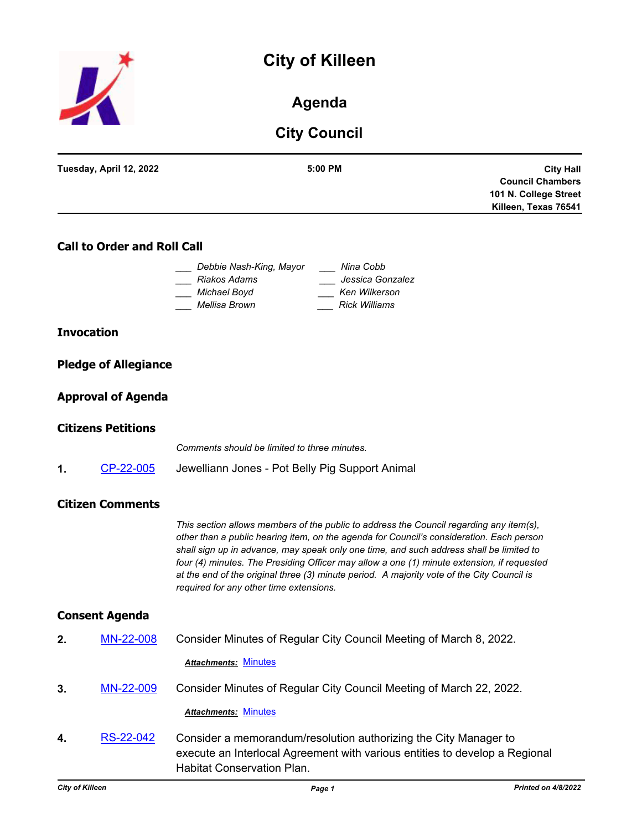# **City of Killeen**



### **Agenda**

## **City Council**

|                   | Tuesday, April 12, 2022            | 5:00 PM<br><b>City Hall</b><br><b>Council Chambers</b><br>101 N. College Street<br>Killeen, Texas 76541                                                                                                                                                                                                                                                                                                                                                                                                               |
|-------------------|------------------------------------|-----------------------------------------------------------------------------------------------------------------------------------------------------------------------------------------------------------------------------------------------------------------------------------------------------------------------------------------------------------------------------------------------------------------------------------------------------------------------------------------------------------------------|
|                   | <b>Call to Order and Roll Call</b> |                                                                                                                                                                                                                                                                                                                                                                                                                                                                                                                       |
|                   |                                    | Debbie Nash-King, Mayor<br>Nina Cobb<br>Riakos Adams<br>Jessica Gonzalez<br>Michael Boyd<br>Ken Wilkerson<br>Mellisa Brown<br><b>Rick Williams</b>                                                                                                                                                                                                                                                                                                                                                                    |
| <b>Invocation</b> |                                    |                                                                                                                                                                                                                                                                                                                                                                                                                                                                                                                       |
|                   | <b>Pledge of Allegiance</b>        |                                                                                                                                                                                                                                                                                                                                                                                                                                                                                                                       |
|                   | <b>Approval of Agenda</b>          |                                                                                                                                                                                                                                                                                                                                                                                                                                                                                                                       |
|                   | <b>Citizens Petitions</b>          |                                                                                                                                                                                                                                                                                                                                                                                                                                                                                                                       |
|                   |                                    | Comments should be limited to three minutes.                                                                                                                                                                                                                                                                                                                                                                                                                                                                          |
| 1.                | CP-22-005                          | Jewelliann Jones - Pot Belly Pig Support Animal                                                                                                                                                                                                                                                                                                                                                                                                                                                                       |
|                   | <b>Citizen Comments</b>            |                                                                                                                                                                                                                                                                                                                                                                                                                                                                                                                       |
|                   |                                    | This section allows members of the public to address the Council regarding any item(s),<br>other than a public hearing item, on the agenda for Council's consideration. Each person<br>shall sign up in advance, may speak only one time, and such address shall be limited to<br>four (4) minutes. The Presiding Officer may allow a one (1) minute extension, if requested<br>at the end of the original three (3) minute period. A majority vote of the City Council is<br>required for any other time extensions. |
|                   | <b>Consent Agenda</b>              |                                                                                                                                                                                                                                                                                                                                                                                                                                                                                                                       |
| 2.                | MN-22-008                          | Consider Minutes of Regular City Council Meeting of March 8, 2022.                                                                                                                                                                                                                                                                                                                                                                                                                                                    |
|                   |                                    | <b>Attachments: Minutes</b>                                                                                                                                                                                                                                                                                                                                                                                                                                                                                           |
| 3.                | MN-22-009                          | Consider Minutes of Regular City Council Meeting of March 22, 2022.                                                                                                                                                                                                                                                                                                                                                                                                                                                   |
|                   |                                    | <b>Attachments: Minutes</b>                                                                                                                                                                                                                                                                                                                                                                                                                                                                                           |
| 4.                | RS-22-042                          | Consider a memorandum/resolution authorizing the City Manager to<br>execute an Interlocal Agreement with various entities to develop a Regional<br>Habitat Conservation Plan.                                                                                                                                                                                                                                                                                                                                         |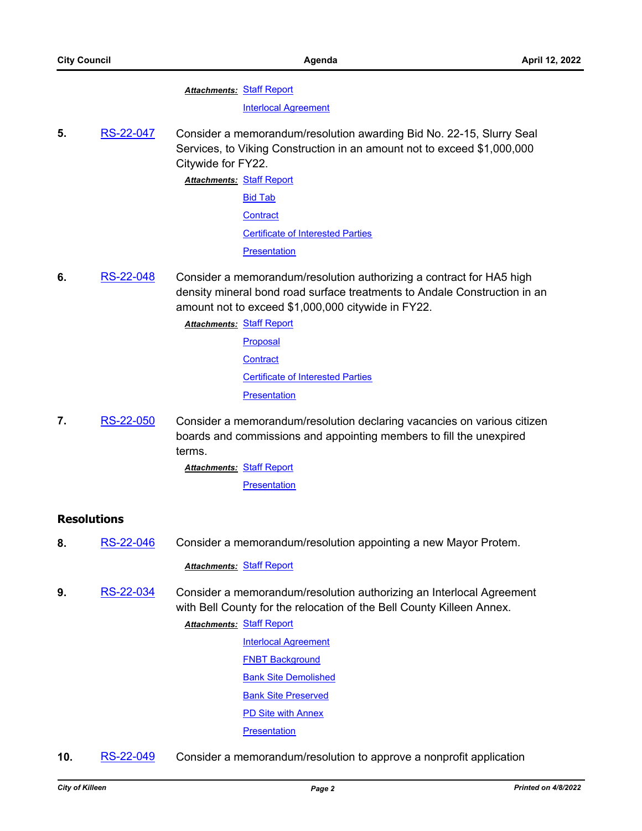#### **Attachments: [Staff Report](http://killeen.legistar.com/gateway.aspx?M=F&ID=4579e981-ccf5-4901-bf95-f891b410aba4.pdf)**

#### [Interlocal Agreement](http://killeen.legistar.com/gateway.aspx?M=F&ID=fd6e866d-4dd7-495d-8d71-a330d31c4d8c.pdf)

**5.** [RS-22-047](http://killeen.legistar.com/gateway.aspx?m=l&id=/matter.aspx?key=5970) Consider a memorandum/resolution awarding Bid No. 22-15, Slurry Seal Services, to Viking Construction in an amount not to exceed \$1,000,000 Citywide for FY22.

> **Attachments: [Staff Report](http://killeen.legistar.com/gateway.aspx?M=F&ID=a7aa4f56-3fc2-4026-831b-8b3d83b3d2df.pdf)** [Bid Tab](http://killeen.legistar.com/gateway.aspx?M=F&ID=3c0c07b5-68f1-4775-9fa5-0fe383af9c04.pdf) **[Contract](http://killeen.legistar.com/gateway.aspx?M=F&ID=dfd4e632-6897-45e8-8286-d3f58deabe4f.pdf)** [Certificate of Interested Parties](http://killeen.legistar.com/gateway.aspx?M=F&ID=6c1ed693-68fb-4815-a25b-8a68553fbaaf.pdf) **[Presentation](http://killeen.legistar.com/gateway.aspx?M=F&ID=c2a94c63-2788-4373-b330-714b202cd0e0.pdf)**

- **6.** [RS-22-048](http://killeen.legistar.com/gateway.aspx?m=l&id=/matter.aspx?key=6014) Consider a memorandum/resolution authorizing a contract for HA5 high density mineral bond road surface treatments to Andale Construction in an amount not to exceed \$1,000,000 citywide in FY22.
	- **Attachments: [Staff Report](http://killeen.legistar.com/gateway.aspx?M=F&ID=c77eba20-0793-4640-9df4-cbd17ed03e32.pdf)** 
		- [Proposal](http://killeen.legistar.com/gateway.aspx?M=F&ID=251d17b7-654f-4ce1-880a-c10e222588ce.pdf) **[Contract](http://killeen.legistar.com/gateway.aspx?M=F&ID=23062ccd-effc-46c8-9d6a-70ae093f2e7f.pdf)** [Certificate of Interested Parties](http://killeen.legistar.com/gateway.aspx?M=F&ID=c47866f4-285a-48ac-8f24-6e26f824e4c7.pdf) **[Presentation](http://killeen.legistar.com/gateway.aspx?M=F&ID=75778789-7975-4d9b-b3aa-a55cb7c52713.pdf)**
- **7.** [RS-22-050](http://killeen.legistar.com/gateway.aspx?m=l&id=/matter.aspx?key=6085) Consider a memorandum/resolution declaring vacancies on various citizen boards and commissions and appointing members to fill the unexpired terms.
	- **Attachments: [Staff Report](http://killeen.legistar.com/gateway.aspx?M=F&ID=d36418d7-1870-4de6-bb14-67f44ff8cd8d.pdf)** 
		- [Presentation](http://killeen.legistar.com/gateway.aspx?M=F&ID=184688d2-d1b2-47ff-80e9-65ae8c8b553b.pdf)

#### **Resolutions**

**8.** [RS-22-046](http://killeen.legistar.com/gateway.aspx?m=l&id=/matter.aspx?key=6063) Consider a memorandum/resolution appointing a new Mayor Protem.

#### *Attachments:* [Staff Report](http://killeen.legistar.com/gateway.aspx?M=F&ID=75d1d3b6-c0a8-4f19-8fdc-d28d1fe6c378.pdf)

**9.** [RS-22-034](http://killeen.legistar.com/gateway.aspx?m=l&id=/matter.aspx?key=5995) Consider a memorandum/resolution authorizing an Interlocal Agreement with Bell County for the relocation of the Bell County Killeen Annex.

#### **Attachments: [Staff Report](http://killeen.legistar.com/gateway.aspx?M=F&ID=486d5ca9-f40f-4862-ab45-6a67f7df46c7.pdf)**

- [Interlocal Agreement](http://killeen.legistar.com/gateway.aspx?M=F&ID=ab2075f3-627d-46e6-bb93-46d577950ad8.pdf) [FNBT Background](http://killeen.legistar.com/gateway.aspx?M=F&ID=9e4b57d9-e1e9-4ebd-9cb7-91a0f5aa724f.pdf) [Bank Site Demolished](http://killeen.legistar.com/gateway.aspx?M=F&ID=aa1cc7e5-bec7-4d7a-8628-85da33f1045d.pdf) [Bank Site Preserved](http://killeen.legistar.com/gateway.aspx?M=F&ID=47a32487-f916-416f-9de8-e7bb3fb286de.pdf) [PD Site with Annex](http://killeen.legistar.com/gateway.aspx?M=F&ID=f9a83348-4c2f-4ad8-8ccc-108039612e51.pdf)
- **[Presentation](http://killeen.legistar.com/gateway.aspx?M=F&ID=eb913b71-f2fa-476d-ae54-023492e4e43c.pdf)**
- **10.** [RS-22-049](http://killeen.legistar.com/gateway.aspx?m=l&id=/matter.aspx?key=6067) Consider a memorandum/resolution to approve a nonprofit application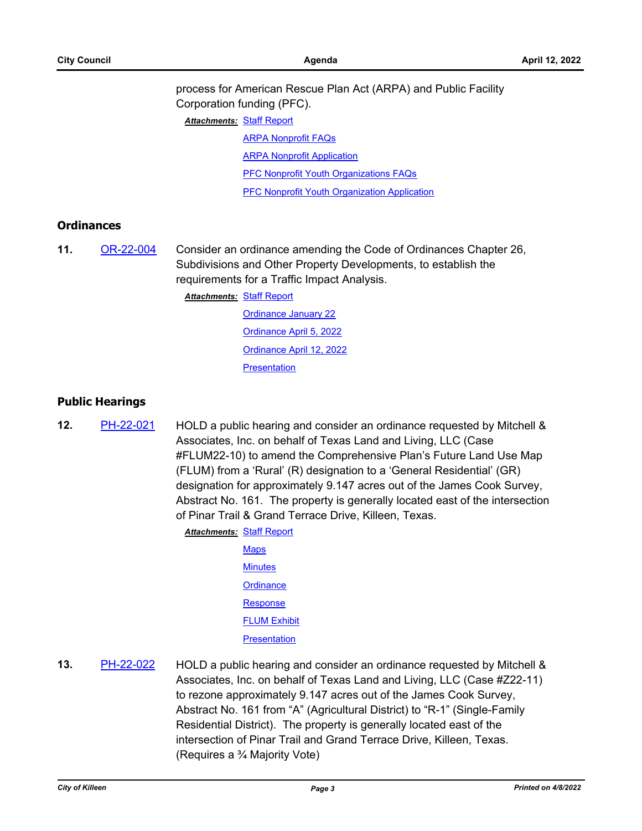process for American Rescue Plan Act (ARPA) and Public Facility Corporation funding (PFC).

**Attachments: [Staff Report](http://killeen.legistar.com/gateway.aspx?M=F&ID=227d519d-ae4c-435f-ab01-28e3f047392d.pdf)** 

[ARPA Nonprofit FAQs](http://killeen.legistar.com/gateway.aspx?M=F&ID=3d3a8ec4-35e5-4cbf-9bff-f34241313dee.pdf)

**[ARPA Nonprofit Application](http://killeen.legistar.com/gateway.aspx?M=F&ID=abc71360-0b28-46e1-ba88-7072b7d9ef70.pdf)** 

[PFC Nonprofit Youth Organizations FAQs](http://killeen.legistar.com/gateway.aspx?M=F&ID=135195ed-f182-4dea-a25f-cee45576fe04.pdf)

[PFC Nonprofit Youth Organization Application](http://killeen.legistar.com/gateway.aspx?M=F&ID=1bc9a91c-89f7-45db-9894-120dc5872bf8.pdf)

#### **Ordinances**

**11.** [OR-22-004](http://killeen.legistar.com/gateway.aspx?m=l&id=/matter.aspx?key=5928) Consider an ordinance amending the Code of Ordinances Chapter 26, Subdivisions and Other Property Developments, to establish the requirements for a Traffic Impact Analysis.

**Attachments: [Staff Report](http://killeen.legistar.com/gateway.aspx?M=F&ID=61eeea71-d4aa-4db7-b6f3-0248ef949408.pdf)** 

[Ordinance January 22](http://killeen.legistar.com/gateway.aspx?M=F&ID=927a431e-3af0-4c65-bd65-33053202c54c.pdf) [Ordinance April 5, 2022](http://killeen.legistar.com/gateway.aspx?M=F&ID=3f7e8888-8ae6-4b5d-9a92-11f5af30b45d.pdf) [Ordinance April 12, 2022](http://killeen.legistar.com/gateway.aspx?M=F&ID=f94a7aff-7aab-4737-8502-ea204e9c20f5.pdf) **[Presentation](http://killeen.legistar.com/gateway.aspx?M=F&ID=be44f363-d628-4e07-a5d7-ca97d730dd3a.pdf)** 

#### **Public Hearings**

**12.** [PH-22-021](http://killeen.legistar.com/gateway.aspx?m=l&id=/matter.aspx?key=5986) HOLD a public hearing and consider an ordinance requested by Mitchell & Associates, Inc. on behalf of Texas Land and Living, LLC (Case #FLUM22-10) to amend the Comprehensive Plan's Future Land Use Map (FLUM) from a 'Rural' (R) designation to a 'General Residential' (GR) designation for approximately 9.147 acres out of the James Cook Survey, Abstract No. 161. The property is generally located east of the intersection of Pinar Trail & Grand Terrace Drive, Killeen, Texas.

> **Attachments: [Staff Report](http://killeen.legistar.com/gateway.aspx?M=F&ID=a9d65861-00b7-4429-8028-f0d2bbe76bad.pdf) [Maps](http://killeen.legistar.com/gateway.aspx?M=F&ID=0d930255-b3b0-4e95-98fb-607e6fcb8a0d.pdf) [Minutes](http://killeen.legistar.com/gateway.aspx?M=F&ID=846bd1f7-cf31-46a5-8765-af203e6fb744.pdf) [Ordinance](http://killeen.legistar.com/gateway.aspx?M=F&ID=aa23b5bd-2862-4389-83be-c0b436bb2781.pdf) [Response](http://killeen.legistar.com/gateway.aspx?M=F&ID=18dccc1f-dfaf-4a5e-9e88-0bffd6d1dc5b.pdf)** [FLUM Exhibit](http://killeen.legistar.com/gateway.aspx?M=F&ID=b769914c-84b0-4c6b-8075-9f1a4abaaea5.pdf) **[Presentation](http://killeen.legistar.com/gateway.aspx?M=F&ID=908f67f8-51e7-4f00-82dc-c08b701bddad.pdf)**

**13.** [PH-22-022](http://killeen.legistar.com/gateway.aspx?m=l&id=/matter.aspx?key=5987) HOLD a public hearing and consider an ordinance requested by Mitchell & Associates, Inc. on behalf of Texas Land and Living, LLC (Case #Z22-11) to rezone approximately 9.147 acres out of the James Cook Survey, Abstract No. 161 from "A" (Agricultural District) to "R-1" (Single-Family Residential District). The property is generally located east of the intersection of Pinar Trail and Grand Terrace Drive, Killeen, Texas. (Requires a ¾ Majority Vote)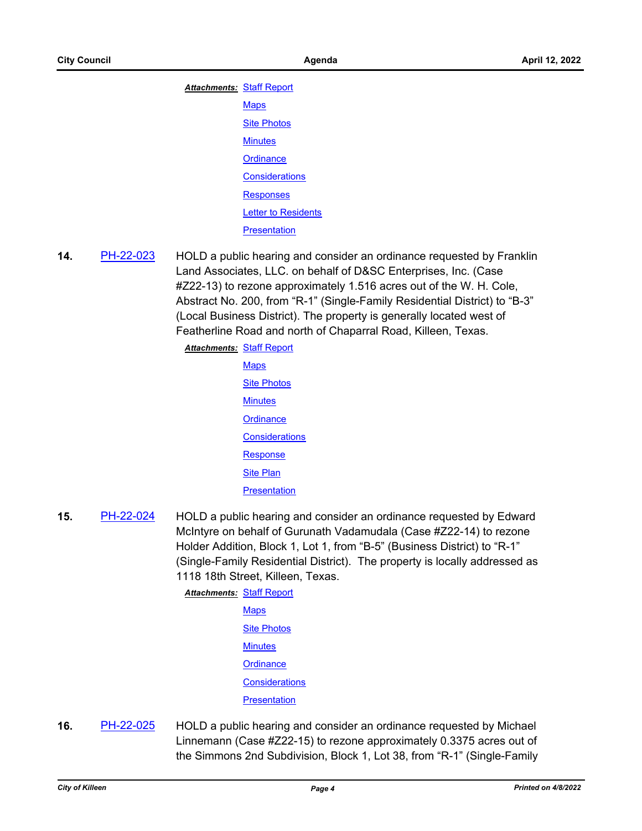| <b>Attachments: Staff Report</b> |                            |
|----------------------------------|----------------------------|
|                                  | <b>Maps</b>                |
|                                  | <b>Site Photos</b>         |
|                                  | <b>Minutes</b>             |
|                                  | Ordinance                  |
|                                  | <b>Considerations</b>      |
|                                  | <b>Responses</b>           |
|                                  | <b>Letter to Residents</b> |
|                                  | Presentation               |

**14.** [PH-22-023](http://killeen.legistar.com/gateway.aspx?m=l&id=/matter.aspx?key=5990) HOLD a public hearing and consider an ordinance requested by Franklin Land Associates, LLC. on behalf of D&SC Enterprises, Inc. (Case #Z22-13) to rezone approximately 1.516 acres out of the W. H. Cole, Abstract No. 200, from "R-1" (Single-Family Residential District) to "B-3" (Local Business District). The property is generally located west of Featherline Road and north of Chaparral Road, Killeen, Texas.

**Attachments: [Staff Report](http://killeen.legistar.com/gateway.aspx?M=F&ID=411465c2-47b8-4157-89cc-28f33a92b53f.pdf) [Maps](http://killeen.legistar.com/gateway.aspx?M=F&ID=c9813db7-8021-4668-a04c-eb12c4d2474d.pdf)** [Site Photos](http://killeen.legistar.com/gateway.aspx?M=F&ID=5408d684-a785-4c30-871b-5d89171b704d.pdf) **[Minutes](http://killeen.legistar.com/gateway.aspx?M=F&ID=27123036-e1a7-4480-aebd-a215d7a23a7d.pdf) [Ordinance](http://killeen.legistar.com/gateway.aspx?M=F&ID=c806f0c9-c571-4dea-bacb-751562b78c15.pdf) [Considerations](http://killeen.legistar.com/gateway.aspx?M=F&ID=71820f08-a4d3-4f14-87c5-070960efc72c.pdf) [Response](http://killeen.legistar.com/gateway.aspx?M=F&ID=170a0580-1955-4d18-9d76-a2c2971a29ed.pdf) [Site Plan](http://killeen.legistar.com/gateway.aspx?M=F&ID=0e4731b3-2d77-43a0-99b2-e4438263c133.pdf)** 

- **[Presentation](http://killeen.legistar.com/gateway.aspx?M=F&ID=52d4dffb-193b-4e37-a7d5-526af8520105.pdf)**
- **15.** [PH-22-024](http://killeen.legistar.com/gateway.aspx?m=l&id=/matter.aspx?key=5991) HOLD a public hearing and consider an ordinance requested by Edward McIntyre on behalf of Gurunath Vadamudala (Case #Z22-14) to rezone Holder Addition, Block 1, Lot 1, from "B-5" (Business District) to "R-1" (Single-Family Residential District). The property is locally addressed as 1118 18th Street, Killeen, Texas.

**Attachments: [Staff Report](http://killeen.legistar.com/gateway.aspx?M=F&ID=52157410-87b6-4f21-9ebd-b46ffaba0cd6.pdf) [Maps](http://killeen.legistar.com/gateway.aspx?M=F&ID=34ae54bf-5a94-4bda-a7cf-530ea66c3d25.pdf)** [Site Photos](http://killeen.legistar.com/gateway.aspx?M=F&ID=cfacb206-5bd2-4aee-bfd8-bed92879ed18.pdf) **[Minutes](http://killeen.legistar.com/gateway.aspx?M=F&ID=3ac39543-0cea-4779-a743-ac2b1d286c4b.pdf) [Ordinance](http://killeen.legistar.com/gateway.aspx?M=F&ID=34ef800b-ad6c-4830-b232-bb9a08b9ee8e.pdf) [Considerations](http://killeen.legistar.com/gateway.aspx?M=F&ID=97729b1b-7687-4e3f-9d32-1b0568119554.pdf) [Presentation](http://killeen.legistar.com/gateway.aspx?M=F&ID=01960cc3-cca9-4eda-b776-fbb5ff849919.pdf)** 

**16.** [PH-22-025](http://killeen.legistar.com/gateway.aspx?m=l&id=/matter.aspx?key=5992) HOLD a public hearing and consider an ordinance requested by Michael Linnemann (Case #Z22-15) to rezone approximately 0.3375 acres out of the Simmons 2nd Subdivision, Block 1, Lot 38, from "R-1" (Single-Family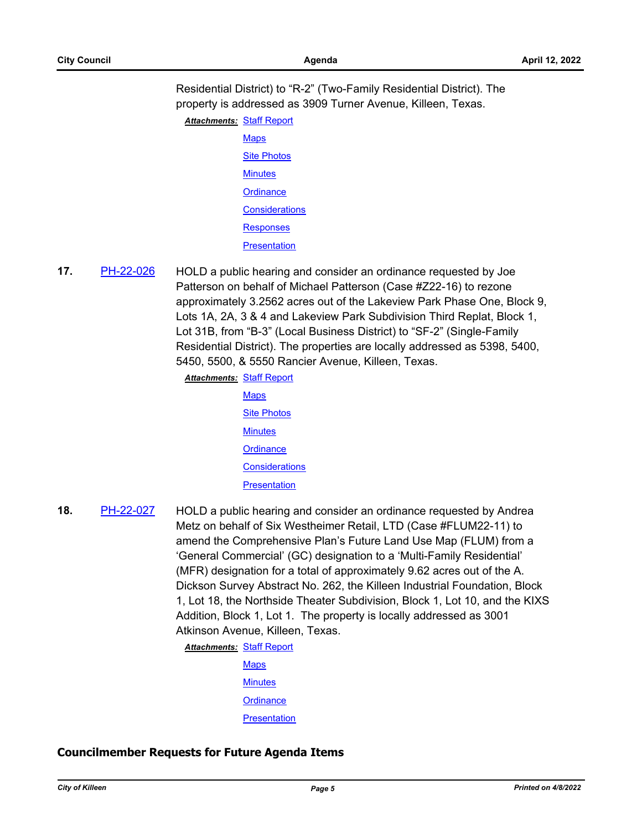Residential District) to "R-2" (Two-Family Residential District). The property is addressed as 3909 Turner Avenue, Killeen, Texas.

**Attachments: [Staff Report](http://killeen.legistar.com/gateway.aspx?M=F&ID=836a4587-8ddd-4eff-a4a3-2e016fd15906.pdf) [Maps](http://killeen.legistar.com/gateway.aspx?M=F&ID=240b0677-d373-42ba-bb14-b112bda212b9.pdf) [Site Photos](http://killeen.legistar.com/gateway.aspx?M=F&ID=4cefc3d0-6234-4bc2-a863-ac7b7708f409.pdf) [Minutes](http://killeen.legistar.com/gateway.aspx?M=F&ID=3f766edc-3930-49de-a18c-c16e721c5bbd.pdf) [Ordinance](http://killeen.legistar.com/gateway.aspx?M=F&ID=73bf17fd-ac7c-48bd-9d39-73c45145a107.pdf) [Considerations](http://killeen.legistar.com/gateway.aspx?M=F&ID=2f3a4cea-0d7c-4c49-9fa4-f0c8b4720399.pdf) [Responses](http://killeen.legistar.com/gateway.aspx?M=F&ID=3998de4a-e115-4232-85ea-0e159d91dde5.pdf) [Presentation](http://killeen.legistar.com/gateway.aspx?M=F&ID=947210be-7743-4523-821c-33f2807412ad.pdf)** 

**17.** [PH-22-026](http://killeen.legistar.com/gateway.aspx?m=l&id=/matter.aspx?key=5993) HOLD a public hearing and consider an ordinance requested by Joe Patterson on behalf of Michael Patterson (Case #Z22-16) to rezone approximately 3.2562 acres out of the Lakeview Park Phase One, Block 9, Lots 1A, 2A, 3 & 4 and Lakeview Park Subdivision Third Replat, Block 1, Lot 31B, from "B-3" (Local Business District) to "SF-2" (Single-Family Residential District). The properties are locally addressed as 5398, 5400, 5450, 5500, & 5550 Rancier Avenue, Killeen, Texas.

**Attachments: [Staff Report](http://killeen.legistar.com/gateway.aspx?M=F&ID=ccf97eb4-ee5b-4126-b3c9-4da7a8d8b0af.pdf)** 

| <b>Maps</b>           |  |  |
|-----------------------|--|--|
| <b>Site Photos</b>    |  |  |
| <b>Minutes</b>        |  |  |
| Ordinance             |  |  |
| <b>Considerations</b> |  |  |
| <b>Presentation</b>   |  |  |

**18.** [PH-22-027](http://killeen.legistar.com/gateway.aspx?m=l&id=/matter.aspx?key=5988) HOLD a public hearing and consider an ordinance requested by Andrea Metz on behalf of Six Westheimer Retail, LTD (Case #FLUM22-11) to amend the Comprehensive Plan's Future Land Use Map (FLUM) from a 'General Commercial' (GC) designation to a 'Multi-Family Residential' (MFR) designation for a total of approximately 9.62 acres out of the A. Dickson Survey Abstract No. 262, the Killeen Industrial Foundation, Block 1, Lot 18, the Northside Theater Subdivision, Block 1, Lot 10, and the KIXS Addition, Block 1, Lot 1. The property is locally addressed as 3001 Atkinson Avenue, Killeen, Texas.

**Attachments: [Staff Report](http://killeen.legistar.com/gateway.aspx?M=F&ID=a4ff1cf8-e441-4061-aca9-65533d7aa25d.pdf)** 

**[Maps](http://killeen.legistar.com/gateway.aspx?M=F&ID=0bf78e89-7de1-4a56-9632-5b0c13474b67.pdf)** 

**[Minutes](http://killeen.legistar.com/gateway.aspx?M=F&ID=9c4a2486-a7ea-4888-82f1-ecaece3343b3.pdf)** 

**[Ordinance](http://killeen.legistar.com/gateway.aspx?M=F&ID=69644566-1bbe-4194-94ed-26eee1d3c7d6.pdf)** 

**[Presentation](http://killeen.legistar.com/gateway.aspx?M=F&ID=848f1172-bd64-45c7-8998-e303b92693e6.pdf)** 

#### **Councilmember Requests for Future Agenda Items**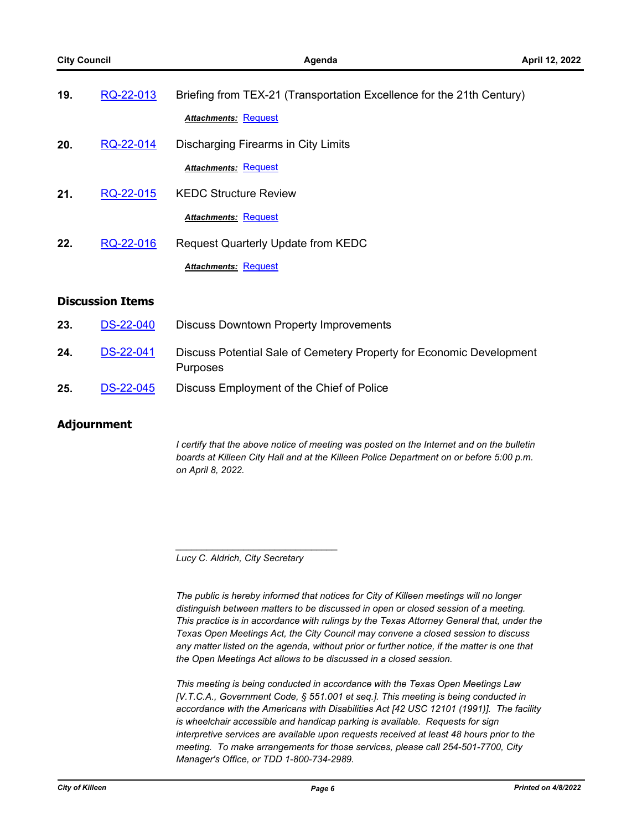| 19.                     | RQ-22-013        | Briefing from TEX-21 (Transportation Excellence for the 21th Century)            |  |  |
|-------------------------|------------------|----------------------------------------------------------------------------------|--|--|
|                         |                  | <b>Attachments: Request</b>                                                      |  |  |
| 20.                     | RQ-22-014        | Discharging Firearms in City Limits                                              |  |  |
|                         |                  | <b>Attachments: Request</b>                                                      |  |  |
| 21.                     | RQ-22-015        | <b>KEDC Structure Review</b>                                                     |  |  |
|                         |                  | <b>Attachments: Request</b>                                                      |  |  |
| 22.                     | RQ-22-016        | Request Quarterly Update from KEDC                                               |  |  |
|                         |                  | <b>Attachments: Request</b>                                                      |  |  |
| <b>Discussion Items</b> |                  |                                                                                  |  |  |
| 23.                     | <b>DS-22-040</b> | <b>Discuss Downtown Property Improvements</b>                                    |  |  |
| 24.                     | <b>DS-22-041</b> | Discuss Potential Sale of Cemetery Property for Economic Development<br>Purposes |  |  |

25. [DS-22-045](http://killeen.legistar.com/gateway.aspx?m=l&id=/matter.aspx?key=6092) Discuss Employment of the Chief of Police

#### **Adjournment**

*I certify that the above notice of meeting was posted on the Internet and on the bulletin boards at Killeen City Hall and at the Killeen Police Department on or before 5:00 p.m. on April 8, 2022.*

*Lucy C. Aldrich, City Secretary* 

*\_\_\_\_\_\_\_\_\_\_\_\_\_\_\_\_\_\_\_\_\_\_\_\_\_\_\_\_\_\_\_*

*The public is hereby informed that notices for City of Killeen meetings will no longer distinguish between matters to be discussed in open or closed session of a meeting. This practice is in accordance with rulings by the Texas Attorney General that, under the Texas Open Meetings Act, the City Council may convene a closed session to discuss any matter listed on the agenda, without prior or further notice, if the matter is one that the Open Meetings Act allows to be discussed in a closed session.*

*This meeting is being conducted in accordance with the Texas Open Meetings Law [V.T.C.A., Government Code, § 551.001 et seq.]. This meeting is being conducted in accordance with the Americans with Disabilities Act [42 USC 12101 (1991)]. The facility is wheelchair accessible and handicap parking is available. Requests for sign interpretive services are available upon requests received at least 48 hours prior to the meeting. To make arrangements for those services, please call 254-501-7700, City Manager's Office, or TDD 1-800-734-2989.*